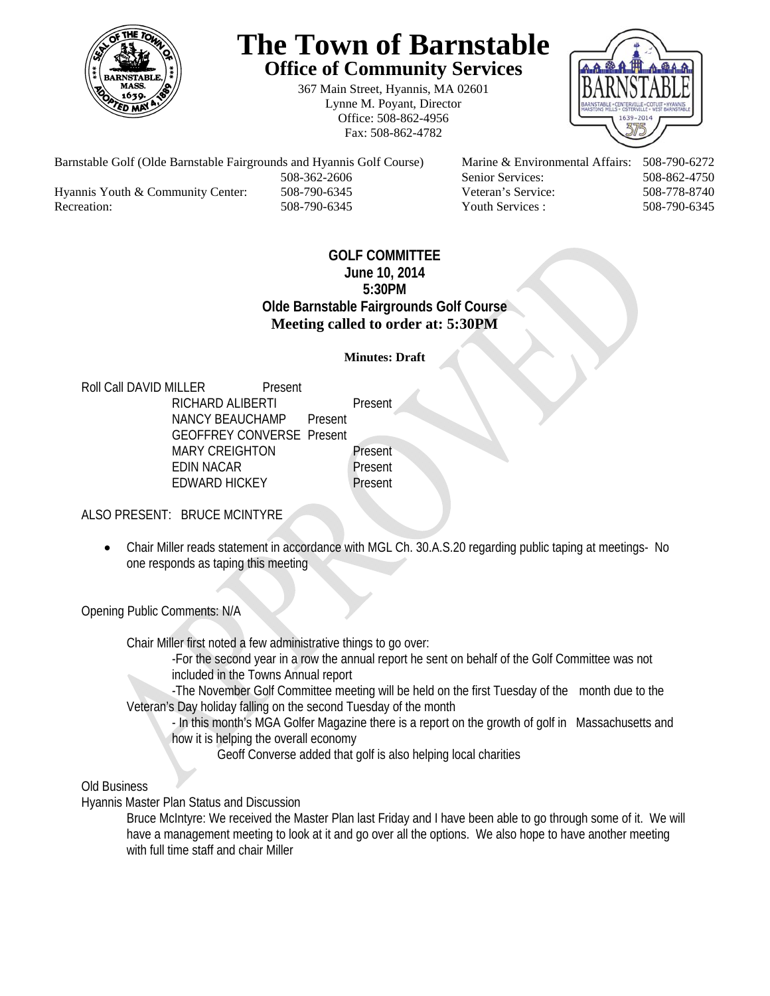

# **The Town of Barnstable Office of Community Services**

367 Main Street, Hyannis, MA 02601 Lynne M. Poyant, Director Office: 508-862-4956 Fax: 508-862-4782



Barnstable Golf (Olde Barnstable Fairgrounds and Hyannis Golf Course) Marine & Environmental Affairs: 508-790-6272 508-362-2606 Senior Services: 508-862-4750 Hyannis Youth & Community Center: 508-790-6345 Veteran's Service: 508-778-8740 Recreation: 508-790-6345 Youth Services : 508-790-6345 S08-790-6345

## **GOLF COMMITTEE June 10, 2014 5:30PM Olde Barnstable Fairgrounds Golf Course Meeting called to order at: 5:30PM**

### **Minutes: Draft**

Roll Call DAVID MILLER Present RICHARD ALIBERTI Present NANCY BEAUCHAMP Present GEOFFREY CONVERSE Present MARY CREIGHTON Present EDIN NACAR Present EDWARD HICKEY Present

ALSO PRESENT: BRUCE MCINTYRE

 Chair Miller reads statement in accordance with MGL Ch. 30.A.S.20 regarding public taping at meetings- No one responds as taping this meeting

Opening Public Comments: N/A

Chair Miller first noted a few administrative things to go over:

-For the second year in a row the annual report he sent on behalf of the Golf Committee was not included in the Towns Annual report

-The November Golf Committee meeting will be held on the first Tuesday of the month due to the Veteran's Day holiday falling on the second Tuesday of the month

- In this month's MGA Golfer Magazine there is a report on the growth of golf in Massachusetts and how it is helping the overall economy

Geoff Converse added that golf is also helping local charities

Old Business

Hyannis Master Plan Status and Discussion

Bruce McIntyre: We received the Master Plan last Friday and I have been able to go through some of it. We will have a management meeting to look at it and go over all the options. We also hope to have another meeting with full time staff and chair Miller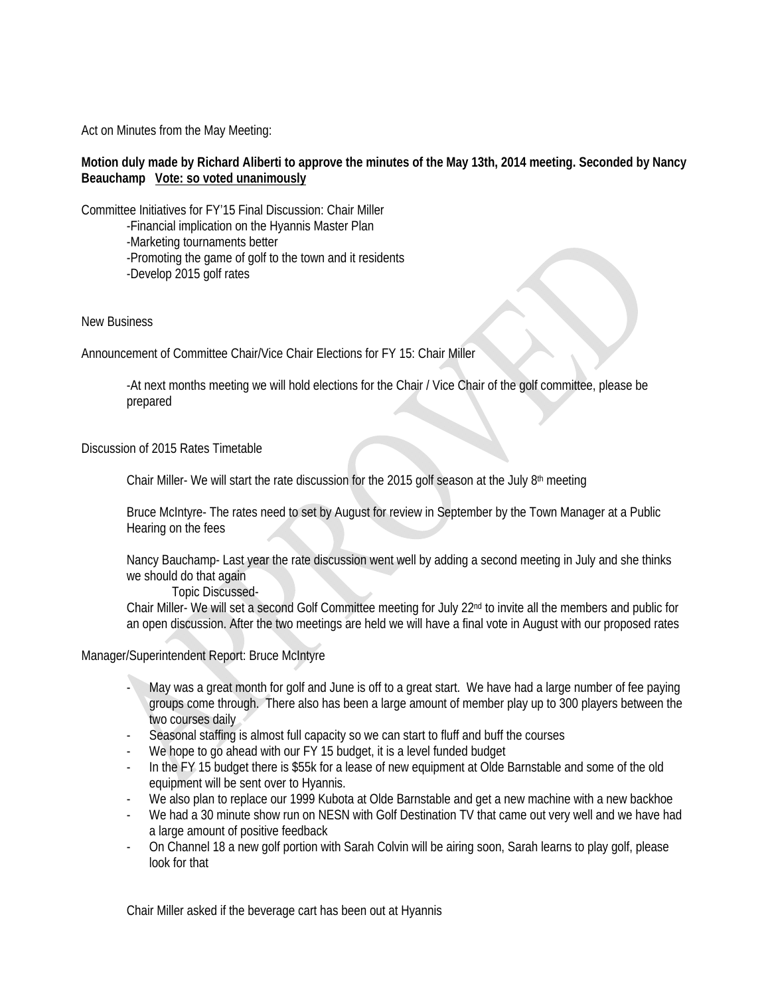Act on Minutes from the May Meeting:

#### **Motion duly made by Richard Aliberti to approve the minutes of the May 13th, 2014 meeting. Seconded by Nancy Beauchamp Vote: so voted unanimously**

Committee Initiatives for FY'15 Final Discussion: Chair Miller

 -Financial implication on the Hyannis Master Plan -Marketing tournaments better -Promoting the game of golf to the town and it residents -Develop 2015 golf rates

#### New Business

Announcement of Committee Chair/Vice Chair Elections for FY 15: Chair Miller

-At next months meeting we will hold elections for the Chair / Vice Chair of the golf committee, please be prepared

#### Discussion of 2015 Rates Timetable

Chair Miller- We will start the rate discussion for the 2015 golf season at the July 8th meeting

Bruce McIntyre- The rates need to set by August for review in September by the Town Manager at a Public Hearing on the fees

Nancy Bauchamp- Last year the rate discussion went well by adding a second meeting in July and she thinks we should do that again

Topic Discussed-

Chair Miller- We will set a second Golf Committee meeting for July 22<sup>nd</sup> to invite all the members and public for an open discussion. After the two meetings are held we will have a final vote in August with our proposed rates

#### Manager/Superintendent Report: Bruce McIntyre

- May was a great month for golf and June is off to a great start. We have had a large number of fee paying groups come through. There also has been a large amount of member play up to 300 players between the two courses daily
- Seasonal staffing is almost full capacity so we can start to fluff and buff the courses
- We hope to go ahead with our FY 15 budget, it is a level funded budget
- In the FY 15 budget there is \$55k for a lease of new equipment at Olde Barnstable and some of the old equipment will be sent over to Hyannis.
- We also plan to replace our 1999 Kubota at Olde Barnstable and get a new machine with a new backhoe
- We had a 30 minute show run on NESN with Golf Destination TV that came out very well and we have had a large amount of positive feedback
- On Channel 18 a new golf portion with Sarah Colvin will be airing soon, Sarah learns to play golf, please look for that

Chair Miller asked if the beverage cart has been out at Hyannis